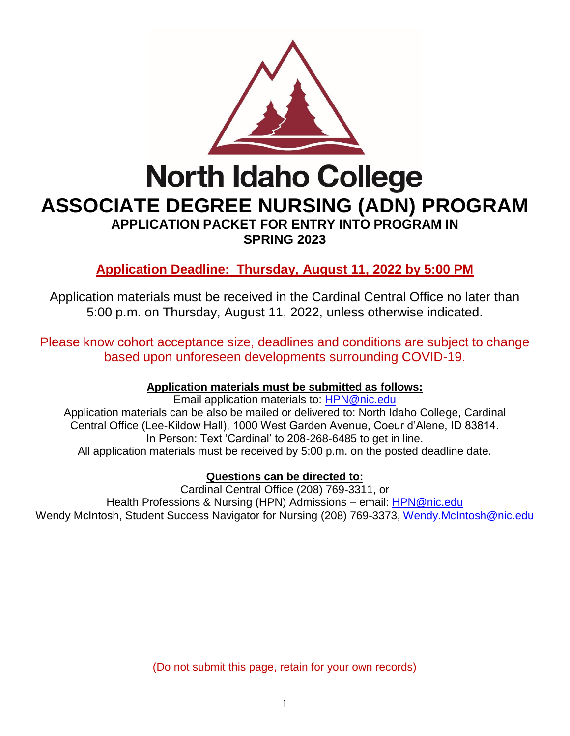

**ASSOCIATE DEGREE NURSING (ADN) PROGRAM**

**APPLICATION PACKET FOR ENTRY INTO PROGRAM IN SPRING 2023**

**Application Deadline: Thursday, August 11, 2022 by 5:00 PM**

Application materials must be received in the Cardinal Central Office no later than 5:00 p.m. on Thursday, August 11, 2022, unless otherwise indicated.

Please know cohort acceptance size, deadlines and conditions are subject to change based upon unforeseen developments surrounding COVID-19.

## **Application materials must be submitted as follows:**

Email application materials to: [HPN@nic.edu](mailto:HPN@nic.edu) Application materials can be also be mailed or delivered to: North Idaho College, Cardinal Central Office (Lee-Kildow Hall), 1000 West Garden Avenue, Coeur d'Alene, ID 83814. In Person: Text 'Cardinal' to 208-268-6485 to get in line. All application materials must be received by 5:00 p.m. on the posted deadline date.

**Questions can be directed to:**

Wendy McIntosh, Student Success Navigator for Nursing (208) 769-3373, [Wendy.McIntosh@nic.edu](mailto:Wendy.McIntosh@nic.edu) Cardinal Central Office (208) 769-3311, or Health Professions & Nursing (HPN) Admissions – email: [HPN@nic.edu](mailto:HPN@nic.edu)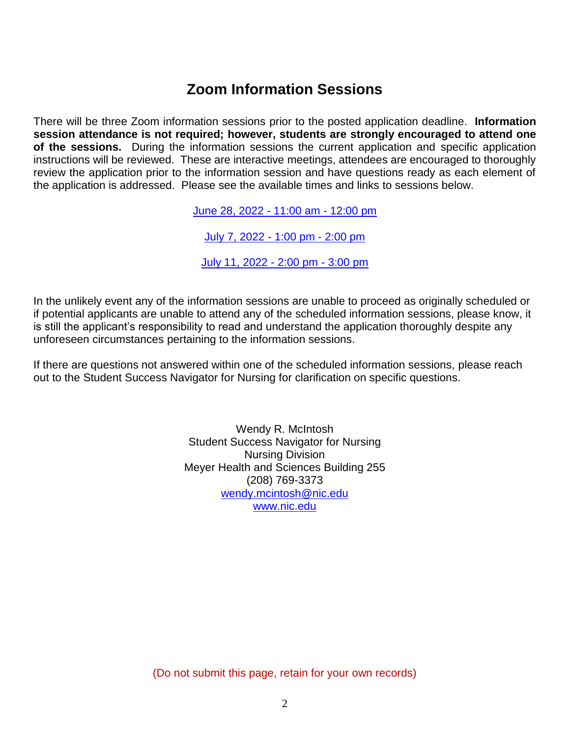# **Zoom Information Sessions**

There will be three Zoom information sessions prior to the posted application deadline. **Information session attendance is not required; however, students are strongly encouraged to attend one of the sessions.** During the information sessions the current application and specific application instructions will be reviewed. These are interactive meetings, attendees are encouraged to thoroughly review the application prior to the information session and have questions ready as each element of the application is addressed. Please see the available times and links to sessions below.

June 28, 2022 - [11:00](https://nic.zoom.us/j/83848411008) am - 12:00 pm

July [7, 2022](https://nic.zoom.us/j/88054057330) - 1:00 pm - 2:00 pm

July [11, 2022](https://nic.zoom.us/j/88054057330) - 2:00 pm - 3:00 pm

In the unlikely event any of the information sessions are unable to proceed as originally scheduled or if potential applicants are unable to attend any of the scheduled information sessions, please know, it is still the applicant's responsibility to read and understand the application thoroughly despite any unforeseen circumstances pertaining to the information sessions.

If there are questions not answered within one of the scheduled information sessions, please reach out to the Student Success Navigator for Nursing for clarification on specific questions.

> Wendy R. McIntosh Student Success Navigator for Nursing Nursing Division Meyer Health and Sciences Building 255 (208) 769-3373 [wendy.mcintosh@nic.edu](mailto:wendy.mcintosh@nic.edu) [www.nic.edu](http://www.nic.edu/)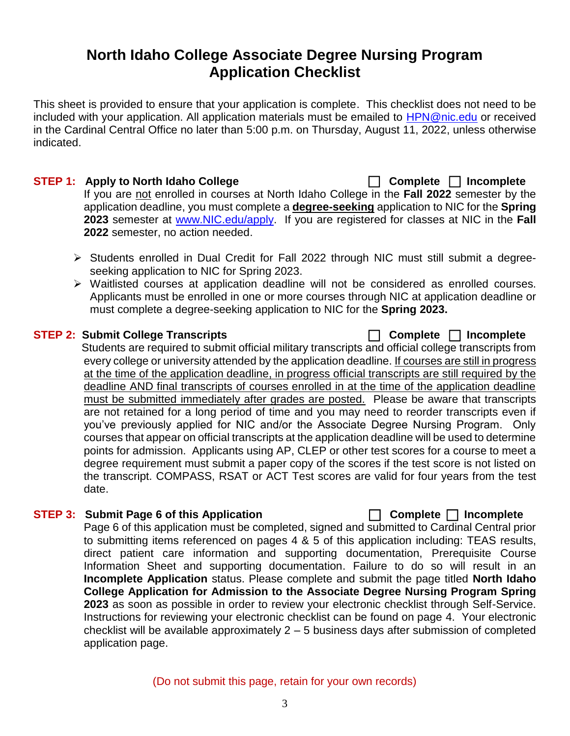## **North Idaho College Associate Degree Nursing Program Application Checklist**

This sheet is provided to ensure that your application is complete. This checklist does not need to be included with your application. All application materials must be emailed to [HPN@nic.edu](mailto:HPN@nic.edu) or received in the Cardinal Central Office no later than 5:00 p.m. on Thursday, August 11, 2022, unless otherwise indicated.

### **STEP 1: Apply to North Idaho College Complete Incomplete**  If you are not enrolled in courses at North Idaho College in the **Fall 2022** semester by the application deadline, you must complete a **degree-seeking** application to NIC for the **Spring 2023** semester at [www.NIC.edu/apply.](http://www.nic.edu/apply) If you are registered for classes at NIC in the **Fall 2022** semester, no action needed.

- > Students enrolled in Dual Credit for Fall 2022 through NIC must still submit a degreeseeking application to NIC for Spring 2023.
- ➢ Waitlisted courses at application deadline will not be considered as enrolled courses. Applicants must be enrolled in one or more courses through NIC at application deadline or must complete a degree-seeking application to NIC for the **Spring 2023.**

## **STEP 2: Submit College Transcripts Complete Incomplete**

Students are required to submit official military transcripts and official college transcripts from every college or university attended by the application deadline. If courses are still in progress at the time of the application deadline, in progress official transcripts are still required by the deadline AND final transcripts of courses enrolled in at the time of the application deadline must be submitted immediately after grades are posted. Please be aware that transcripts are not retained for a long period of time and you may need to reorder transcripts even if you've previously applied for NIC and/or the Associate Degree Nursing Program. Only courses that appear on official transcripts at the application deadline will be used to determine points for admission. Applicants using AP, CLEP or other test scores for a course to meet a degree requirement must submit a paper copy of the scores if the test score is not listed on the transcript. COMPASS, RSAT or ACT Test scores are valid for four years from the test date.

## **STEP 3: Submit Page 6 of this Application Complete Incomplete**

Page 6 of this application must be completed, signed and submitted to Cardinal Central prior to submitting items referenced on pages 4 & 5 of this application including: TEAS results, direct patient care information and supporting documentation, Prerequisite Course Information Sheet and supporting documentation. Failure to do so will result in an **Incomplete Application** status. Please complete and submit the page titled **North Idaho College Application for Admission to the Associate Degree Nursing Program Spring 2023** as soon as possible in order to review your electronic checklist through Self-Service. Instructions for reviewing your electronic checklist can be found on page 4. Your electronic checklist will be available approximately  $2 - 5$  business days after submission of completed application page.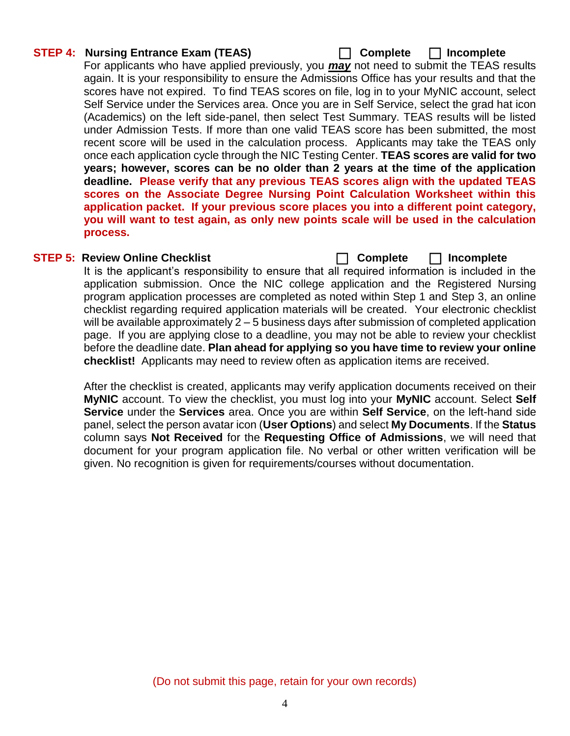#### **STEP 4: Nursing Entrance Exam (TEAS) Complete Incomplete**

For applicants who have applied previously, you *may* not need to submit the TEAS results again. It is your responsibility to ensure the Admissions Office has your results and that the scores have not expired. To find TEAS scores on file, log in to your MyNIC account, select Self Service under the Services area. Once you are in Self Service, select the grad hat icon (Academics) on the left side-panel, then select Test Summary. TEAS results will be listed under Admission Tests. If more than one valid TEAS score has been submitted, the most recent score will be used in the calculation process. Applicants may take the TEAS only once each application cycle through the NIC Testing Center. **TEAS scores are valid for two years; however, scores can be no older than 2 years at the time of the application deadline. Please verify that any previous TEAS scores align with the updated TEAS scores on the Associate Degree Nursing Point Calculation Worksheet within this application packet. If your previous score places you into a different point category, you will want to test again, as only new points scale will be used in the calculation process.**

#### **STEP 5: Review Online Checklist Complete Incomplete**

It is the applicant's responsibility to ensure that all required information is included in the application submission. Once the NIC college application and the Registered Nursing program application processes are completed as noted within Step 1 and Step 3, an online checklist regarding required application materials will be created. Your electronic checklist will be available approximately 2 – 5 business days after submission of completed application page. If you are applying close to a deadline, you may not be able to review your checklist before the deadline date. **Plan ahead for applying so you have time to review your online checklist!** Applicants may need to review often as application items are received.

After the checklist is created, applicants may verify application documents received on their **MyNIC** account. To view the checklist, you must log into your **MyNIC** account. Select **Self Service** under the **Services** area. Once you are within **Self Service**, on the left-hand side panel, select the person avatar icon (**User Options**) and select **My Documents**. If the **Status** column says **Not Received** for the **Requesting Office of Admissions**, we will need that document for your program application file. No verbal or other written verification will be given. No recognition is given for requirements/courses without documentation.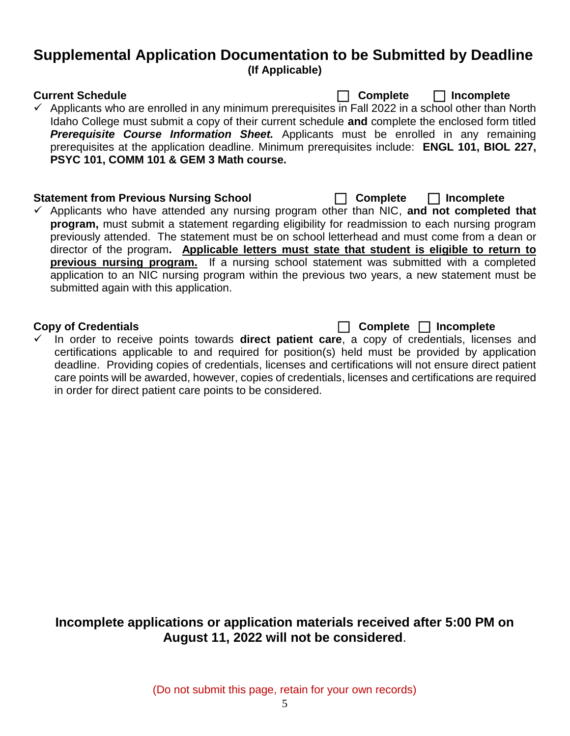## **Supplemental Application Documentation to be Submitted by Deadline (If Applicable)**

**Current Schedule Complete Incomplete**

 $\checkmark$  Applicants who are enrolled in any minimum prerequisites in Fall 2022 in a school other than North Idaho College must submit a copy of their current schedule **and** complete the enclosed form titled *Prerequisite Course Information Sheet.* Applicants must be enrolled in any remaining prerequisites at the application deadline. Minimum prerequisites include: **ENGL 101, BIOL 227, PSYC 101, COMM 101 & GEM 3 Math course.** 

#### **Statement from Previous Nursing School Complete Incomplete**

✓ Applicants who have attended any nursing program other than NIC, **and not completed that program,** must submit a statement regarding eligibility for readmission to each nursing program previously attended. The statement must be on school letterhead and must come from a dean or director of the program**. Applicable letters must state that student is eligible to return to previous nursing program.** If a nursing school statement was submitted with a completed application to an NIC nursing program within the previous two years, a new statement must be submitted again with this application.

**Copy of Credentials Complete Incomplete**

✓ In order to receive points towards **direct patient care**, a copy of credentials, licenses and certifications applicable to and required for position(s) held must be provided by application deadline. Providing copies of credentials, licenses and certifications will not ensure direct patient care points will be awarded, however, copies of credentials, licenses and certifications are required in order for direct patient care points to be considered.

## **Incomplete applications or application materials received after 5:00 PM on August 11, 2022 will not be considered**.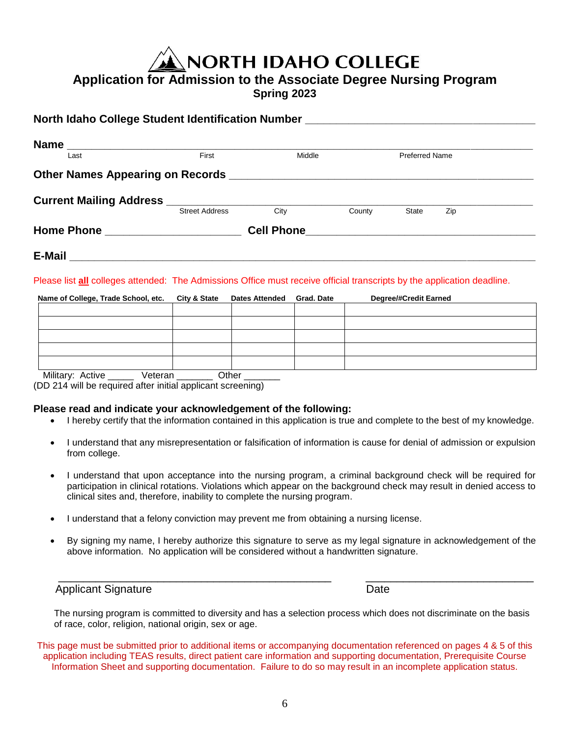**NORTH IDAHO COLLEGE** 

## **Application for Admission to the Associate Degree Nursing Program**

**Spring 2023**

| North Idaho College Student Identification Number ______________________________ |                       |                                                                                                                |        |                       |     |  |
|----------------------------------------------------------------------------------|-----------------------|----------------------------------------------------------------------------------------------------------------|--------|-----------------------|-----|--|
|                                                                                  |                       |                                                                                                                |        |                       |     |  |
| Name<br>Last                                                                     | First                 | Middle                                                                                                         |        | <b>Preferred Name</b> |     |  |
|                                                                                  |                       |                                                                                                                |        |                       |     |  |
|                                                                                  |                       |                                                                                                                |        |                       |     |  |
|                                                                                  | <b>Street Address</b> | City                                                                                                           | County | <b>State</b>          | Zip |  |
|                                                                                  |                       | Cell Phone 2008 2009 2010 2021 2022 2023 2024 2022 2023 2024 2022 2023 2024 2025 2026 2027 2028 2029 2020 2021 |        |                       |     |  |
| E-Mail                                                                           |                       |                                                                                                                |        |                       |     |  |

Please list **all** colleges attended: The Admissions Office must receive official transcripts by the application deadline.

| Name of College, Trade School, etc. City & State Dates Attended Grad. Date |  | <b>Degree/#Credit Earned</b> |
|----------------------------------------------------------------------------|--|------------------------------|
|                                                                            |  |                              |
|                                                                            |  |                              |
|                                                                            |  |                              |
|                                                                            |  |                              |
|                                                                            |  |                              |

( DD 214 will be required after initi al applicant sc reening) Military: Active **Weteran** \_\_\_\_\_\_\_ Othe r \_\_\_\_\_\_\_

#### **Please read and indicate your acknowledgement of the following:**

- I hereby certify that the information contained in this application is true and complete to the best of my knowledge.
- I understand that any misrepresentation or falsification of information is cause for denial of admission or expulsion from college.
- I understand that upon acceptance into the nursing program, a criminal background check will be required for participation in clinical rotations. Violations which appear on the background check may result in denied access to clinical sites and, therefore, inability to complete the nursing program.
- I understand that a felony conviction may prevent me from obtaining a nursing license.
- By signing my name, I hereby authorize this signature to serve as my legal signature in acknowledgement of the above information. No application will be considered without a handwritten signature.

\_\_\_\_\_\_\_\_\_\_\_\_\_\_\_\_\_\_\_\_\_\_\_\_\_\_\_\_\_\_\_\_\_\_\_\_\_\_\_\_\_\_\_\_ \_\_\_\_\_\_\_\_\_\_\_\_\_\_\_\_\_\_\_\_\_\_\_\_\_\_\_

#### Applicant Signature **Date**

The nursing program is committed to diversity and has a selection process which does not discriminate on the basis of race, color, religion, national origin, sex or age.

This page must be submitted prior to additional items or accompanying documentation referenced on pages 4 & 5 of this application including TEAS results, direct patient care information and supporting documentation, Prerequisite Course Information Sheet and supporting documentation. Failure to do so may result in an incomplete application status.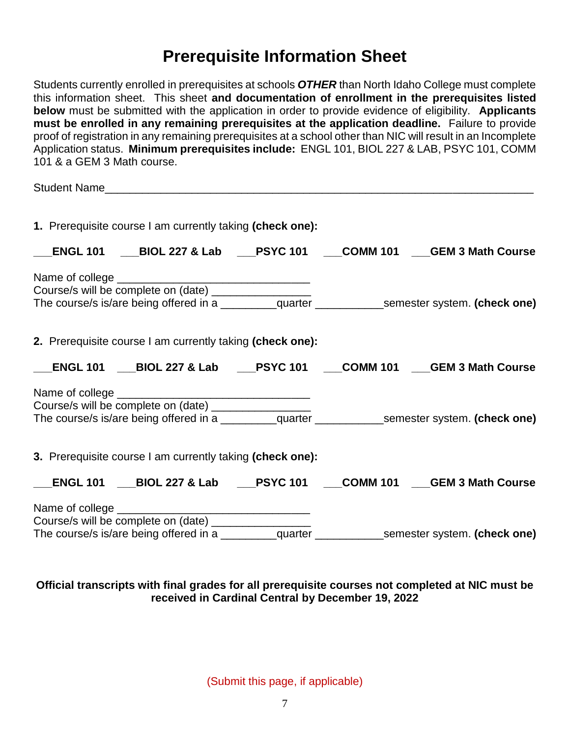# **Prerequisite Information Sheet**

Students currently enrolled in prerequisites at schools *OTHER* than North Idaho College must complete this information sheet. This sheet **and documentation of enrollment in the prerequisites listed below** must be submitted with the application in order to provide evidence of eligibility. **Applicants must be enrolled in any remaining prerequisites at the application deadline.** Failure to provide proof of registration in any remaining prerequisites at a school other than NIC will result in an Incomplete Application status. **Minimum prerequisites include:** ENGL 101, BIOL 227 & LAB, PSYC 101, COMM 101 & a GEM 3 Math course.

Student Name

|                          | 1. Prerequisite course I am currently taking (check one): |  |                                                                                                      |
|--------------------------|-----------------------------------------------------------|--|------------------------------------------------------------------------------------------------------|
|                          |                                                           |  | ENGL 101 ___BIOL 227 & Lab ___PSYC 101 ___COMM 101 ___GEM 3 Math Course                              |
|                          |                                                           |  |                                                                                                      |
|                          |                                                           |  |                                                                                                      |
|                          |                                                           |  |                                                                                                      |
|                          | 2. Prerequisite course I am currently taking (check one): |  |                                                                                                      |
| $\overline{\phantom{a}}$ |                                                           |  | _ENGL 101 ___BIOL 227 & Lab ____PSYC 101 ____COMM 101 ____GEM 3 Math Course                          |
|                          |                                                           |  |                                                                                                      |
|                          |                                                           |  |                                                                                                      |
|                          |                                                           |  |                                                                                                      |
|                          | 3. Prerequisite course I am currently taking (check one): |  |                                                                                                      |
| $\frac{1}{1}$            |                                                           |  | _ENGL 101 ___BIOL 227 & Lab ____PSYC 101 ____COMM 101 ____GEM 3 Math Course                          |
|                          |                                                           |  |                                                                                                      |
|                          | Course/s will be complete on (date) __________________    |  |                                                                                                      |
|                          |                                                           |  | The course/s is/are being offered in a ___________quarter ______________semester system. (check one) |

### **Official transcripts with final grades for all prerequisite courses not completed at NIC must be received in Cardinal Central by December 19, 2022**

(Submit this page, if applicable)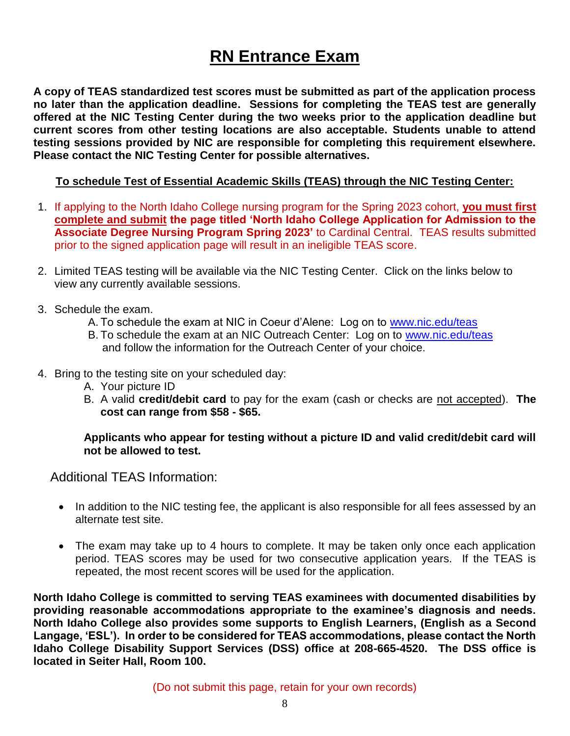# **RN Entrance Exam**

**A copy of TEAS standardized test scores must be submitted as part of the application process no later than the application deadline. Sessions for completing the TEAS test are generally offered at the NIC Testing Center during the two weeks prior to the application deadline but current scores from other testing locations are also acceptable. Students unable to attend testing sessions provided by NIC are responsible for completing this requirement elsewhere. Please contact the NIC Testing Center for possible alternatives.**

### **To schedule Test of Essential Academic Skills (TEAS) through the NIC Testing Center:**

- 1. If applying to the North Idaho College nursing program for the Spring 2023 cohort, **you must first complete and submit the page titled 'North Idaho College Application for Admission to the Associate Degree Nursing Program Spring 2023'** to Cardinal Central. TEAS results submitted prior to the signed application page will result in an ineligible TEAS score.
- 2. Limited TEAS testing will be available via the NIC Testing Center. Click on the links below to view any currently available sessions.
- 3. Schedule the exam.
	- A. To schedule the exam at NIC in Coeur d'Alene: Log on to [www.nic.edu/teas](http://www.nic.edu/teas)
	- B. To schedule the exam at an NIC Outreach Center: Log on to [www.nic.edu/teas](http://www.nic.edu/teas) and follow the information for the Outreach Center of your choice.
- 4. Bring to the testing site on your scheduled day:
	- A. Your picture ID
	- B. A valid **credit/debit card** to pay for the exam (cash or checks are not accepted). **The cost can range from \$58 - \$65.**

### **Applicants who appear for testing without a picture ID and valid credit/debit card will not be allowed to test.**

Additional TEAS Information:

- In addition to the NIC testing fee, the applicant is also responsible for all fees assessed by an alternate test site.
- The exam may take up to 4 hours to complete. It may be taken only once each application period. TEAS scores may be used for two consecutive application years. If the TEAS is repeated, the most recent scores will be used for the application.

**North Idaho College is committed to serving TEAS examinees with documented disabilities by providing reasonable accommodations appropriate to the examinee's diagnosis and needs. North Idaho College also provides some supports to English Learners, (English as a Second Langage, 'ESL'). In order to be considered for TEAS accommodations, please contact the North Idaho College Disability Support Services (DSS) office at 208-665-4520. The DSS office is located in Seiter Hall, Room 100.**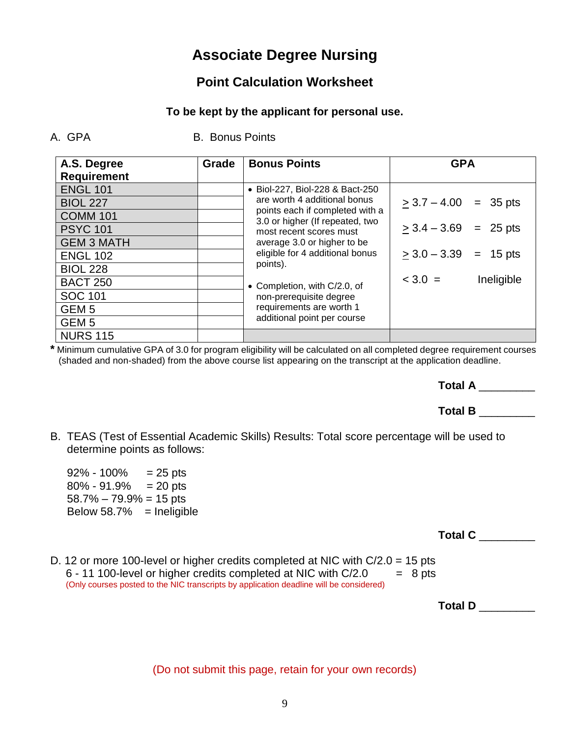## **Associate Degree Nursing**

## **Point Calculation Worksheet**

## **To be kept by the applicant for personal use.**

A. GPA B. Bonus Points

| A.S. Degree        | Grade | <b>Bonus Points</b>                                                | <b>GPA</b>                 |  |
|--------------------|-------|--------------------------------------------------------------------|----------------------------|--|
| <b>Requirement</b> |       |                                                                    |                            |  |
| <b>ENGL 101</b>    |       | • Biol-227, Biol-228 & Bact-250                                    |                            |  |
| <b>BIOL 227</b>    |       | are worth 4 additional bonus                                       | $\geq$ 3.7 – 4.00 = 35 pts |  |
| <b>COMM 101</b>    |       | points each if completed with a<br>3.0 or higher (If repeated, two |                            |  |
| <b>PSYC 101</b>    |       | most recent scores must                                            | $>$ 3.4 $-$ 3.69 = 25 pts  |  |
| <b>GEM 3 MATH</b>  |       | average 3.0 or higher to be                                        |                            |  |
| <b>ENGL 102</b>    |       | eligible for 4 additional bonus                                    | $>$ 3.0 – 3.39 = 15 pts    |  |
| <b>BIOL 228</b>    |       | points).                                                           |                            |  |
| <b>BACT 250</b>    |       | • Completion, with C/2.0, of                                       | $3.0 =$<br>Ineligible      |  |
| <b>SOC 101</b>     |       | non-prerequisite degree                                            |                            |  |
| GEM <sub>5</sub>   |       | requirements are worth 1                                           |                            |  |
| GEM <sub>5</sub>   |       | additional point per course                                        |                            |  |
| <b>NURS 115</b>    |       |                                                                    |                            |  |

**\*** Minimum cumulative GPA of 3.0 for program eligibility will be calculated on all completed degree requirement courses (shaded and non-shaded) from the above course list appearing on the transcript at the application deadline.

**Total A** \_\_\_\_\_\_\_\_\_

## **Total B** \_\_\_\_\_\_\_\_\_

B. TEAS (Test of Essential Academic Skills) Results: Total score percentage will be used to determine points as follows:

| 92% - 100%                 | $= 25$ pts     |
|----------------------------|----------------|
| 80% - 91.9%                | $= 20$ pts     |
| $58.7\% - 79.9\% = 15$ pts |                |
| Below 58.7%                | $=$ Ineligible |

**Total C** \_\_\_\_\_\_\_\_\_

D. 12 or more 100-level or higher credits completed at NIC with C/2.0 = 15 pts  $6 - 11 100$ -level or higher credits completed at NIC with  $C/2.0$  = 8 pts (Only courses posted to the NIC transcripts by application deadline will be considered)

**Total D** \_\_\_\_\_\_\_\_\_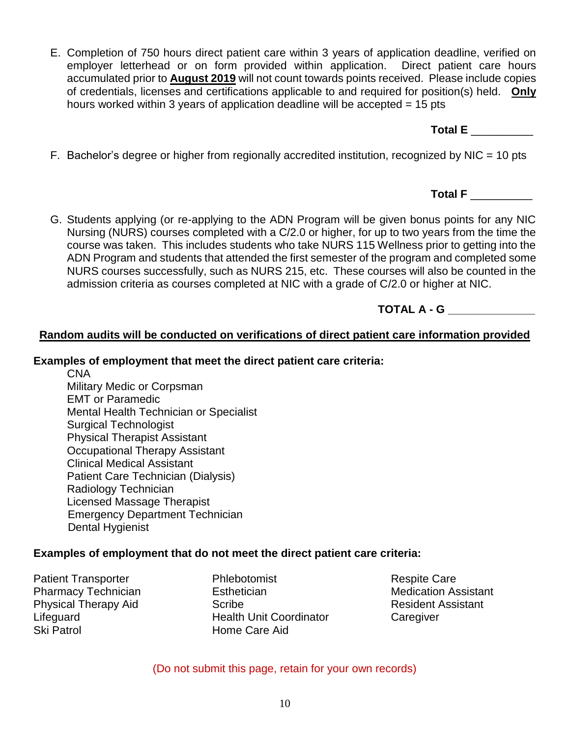(Do not submit this page, retain for your own records)

- E. Completion of 750 hours direct patient care within 3 years of application deadline, verified on employer letterhead or on form provided within application. Direct patient care hours accumulated prior to **August 2019** will not count towards points received. Please include copies of credentials, licenses and certifications applicable to and required for position(s) held. **Only** hours worked within 3 years of application deadline will be accepted = 15 pts
- F. Bachelor's degree or higher from regionally accredited institution, recognized by NIC = 10 pts
- G. Students applying (or re-applying to the ADN Program will be given bonus points for any NIC Nursing (NURS) courses completed with a C/2.0 or higher, for up to two years from the time the course was taken. This includes students who take NURS 115 Wellness prior to getting into the ADN Program and students that attended the first semester of the program and completed some NURS courses successfully, such as NURS 215, etc. These courses will also be counted in the admission criteria as courses completed at NIC with a grade of C/2.0 or higher at NIC.
- **TOTAL A - G \_\_\_\_\_\_\_\_\_\_\_\_\_\_**

## **Random audits will be conducted on verifications of direct patient care information provided**

## **Examples of employment that meet the direct patient care criteria:**

CNA Military Medic or Corpsman EMT or Paramedic Mental Health Technician or Specialist Surgical Technologist Physical Therapist Assistant Occupational Therapy Assistant Clinical Medical Assistant Patient Care Technician (Dialysis) Radiology Technician Licensed Massage Therapist Emergency Department Technician Dental Hygienist

## **Examples of employment that do not meet the direct patient care criteria:**

Patient Transporter Pharmacy Technician Physical Therapy Aid Lifeguard Ski Patrol

Phlebotomist Esthetician Scribe Health Unit Coordinator Home Care Aid

Respite Care Medication Assistant Resident Assistant **Caregiver** 

**Total E** \_\_\_\_\_\_\_\_\_\_

**Total F** \_\_\_\_\_\_\_\_\_\_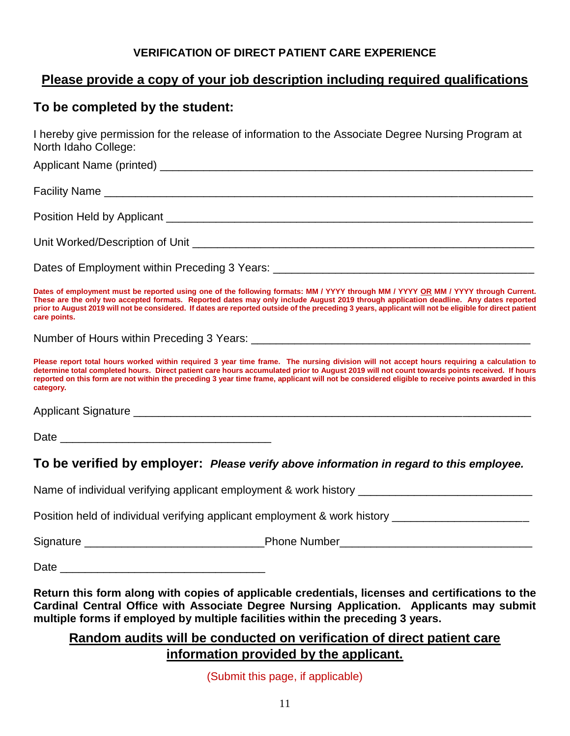### **VERIFICATION OF DIRECT PATIENT CARE EXPERIENCE**

## **Please provide a copy of your job description including required qualifications**

## **To be completed by the student:**

I hereby give permission for the release of information to the Associate Degree Nursing Program at North Idaho College:

| Dates of employment must be reported using one of the following formats: MM / YYYY through MM / YYYY OR MM / YYYY through Current.<br>These are the only two accepted formats. Reported dates may only include August 2019 through application deadline. Any dates reported<br>prior to August 2019 will not be considered. If dates are reported outside of the preceding 3 years, applicant will not be eligible for direct patient<br>care points.       |
|-------------------------------------------------------------------------------------------------------------------------------------------------------------------------------------------------------------------------------------------------------------------------------------------------------------------------------------------------------------------------------------------------------------------------------------------------------------|
|                                                                                                                                                                                                                                                                                                                                                                                                                                                             |
| Please report total hours worked within required 3 year time frame. The nursing division will not accept hours requiring a calculation to<br>determine total completed hours. Direct patient care hours accumulated prior to August 2019 will not count towards points received. If hours<br>reported on this form are not within the preceding 3 year time frame, applicant will not be considered eligible to receive points awarded in this<br>category. |
|                                                                                                                                                                                                                                                                                                                                                                                                                                                             |
|                                                                                                                                                                                                                                                                                                                                                                                                                                                             |
| To be verified by employer: Please verify above information in regard to this employee.                                                                                                                                                                                                                                                                                                                                                                     |
| Name of individual verifying applicant employment & work history ___________________________________                                                                                                                                                                                                                                                                                                                                                        |
| Position held of individual verifying applicant employment & work history _________________________                                                                                                                                                                                                                                                                                                                                                         |
|                                                                                                                                                                                                                                                                                                                                                                                                                                                             |
|                                                                                                                                                                                                                                                                                                                                                                                                                                                             |
|                                                                                                                                                                                                                                                                                                                                                                                                                                                             |

**Return this form along with copies of applicable credentials, licenses and certifications to the Cardinal Central Office with Associate Degree Nursing Application. Applicants may submit multiple forms if employed by multiple facilities within the preceding 3 years.**

## **Random audits will be conducted on verification of direct patient care information provided by the applicant.**

(Submit this page, if applicable)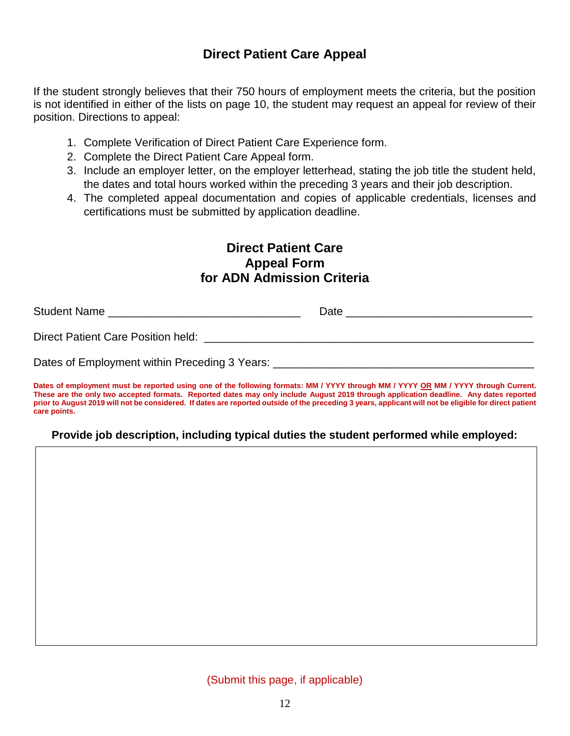## **Direct Patient Care Appeal**

If the student strongly believes that their 750 hours of employment meets the criteria, but the position is not identified in either of the lists on page 10, the student may request an appeal for review of their position. Directions to appeal:

- 1. Complete Verification of Direct Patient Care Experience form.
- 2. Complete the Direct Patient Care Appeal form.
- 3. Include an employer letter, on the employer letterhead, stating the job title the student held, the dates and total hours worked within the preceding 3 years and their job description.
- 4. The completed appeal documentation and copies of applicable credentials, licenses and certifications must be submitted by application deadline.

## **Direct Patient Care Appeal Form for ADN Admission Criteria**

| <b>Student Name</b>                           | Date |
|-----------------------------------------------|------|
| Direct Patient Care Position held:            |      |
| Dates of Employment within Preceding 3 Years: |      |

Dates of employment must be reported using one of the following formats: MM / YYYY through MM / YYYY OR MM / YYYY through Current. These are the only two accepted formats. Reported dates may only include August 2019 through application deadline. Any dates reported prior to August 2019 will not be considered. If dates are reported outside of the preceding 3 years, applicant will not be eligible for direct patient **care points.**

## **Provide job description, including typical duties the student performed while employed:**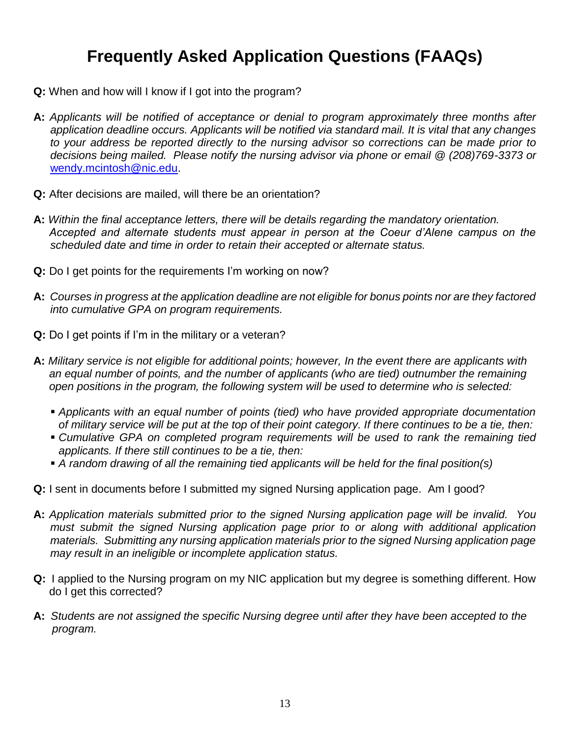# **Frequently Asked Application Questions (FAAQs)**

- **Q:** When and how will I know if I got into the program?
- **A:** *Applicants will be notified of acceptance or denial to program approximately three months after application deadline occurs. Applicants will be notified via standard mail. It is vital that any changes to your address be reported directly to the nursing advisor so corrections can be made prior to decisions being mailed. Please notify the nursing advisor via phone or email @ (208)769-3373 or* [wendy.mcintosh@nic.edu.](mailto:wendy.mcintosh@nic.edu)
- **Q:** After decisions are mailed, will there be an orientation?
- **A:** *Within the final acceptance letters, there will be details regarding the mandatory orientation. Accepted and alternate students must appear in person at the Coeur d'Alene campus on the scheduled date and time in order to retain their accepted or alternate status.*
- **Q:** Do I get points for the requirements I'm working on now?
- **A:** *Courses in progress at the application deadline are not eligible for bonus points nor are they factored into cumulative GPA on program requirements.*
- **Q:** Do I get points if I'm in the military or a veteran?
- **A:** *Military service is not eligible for additional points; however, In the event there are applicants with an equal number of points, and the number of applicants (who are tied) outnumber the remaining open positions in the program, the following system will be used to determine who is selected:*
	- *Applicants with an equal number of points (tied) who have provided appropriate documentation of military service will be put at the top of their point category. If there continues to be a tie, then:*
	- *Cumulative GPA on completed program requirements will be used to rank the remaining tied applicants. If there still continues to be a tie, then:*
	- *A random drawing of all the remaining tied applicants will be held for the final position(s)*
- **Q:** I sent in documents before I submitted my signed Nursing application page. Am I good?
- **A:** *Application materials submitted prior to the signed Nursing application page will be invalid. You must submit the signed Nursing application page prior to or along with additional application materials. Submitting any nursing application materials prior to the signed Nursing application page may result in an ineligible or incomplete application status.*
- **Q:** I applied to the Nursing program on my NIC application but my degree is something different. How do I get this corrected?
- **A:** *Students are not assigned the specific Nursing degree until after they have been accepted to the program.*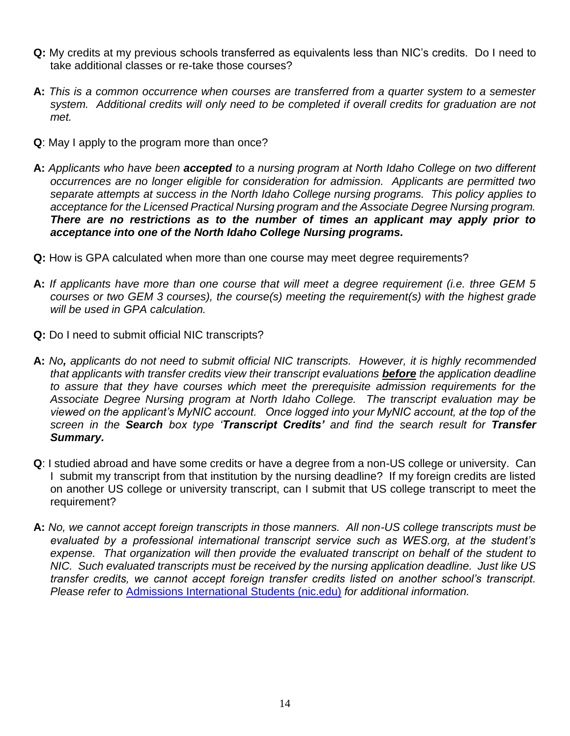- **Q:** My credits at my previous schools transferred as equivalents less than NIC's credits. Do I need to take additional classes or re-take those courses?
- **A:** *This is a common occurrence when courses are transferred from a quarter system to a semester system. Additional credits will only need to be completed if overall credits for graduation are not met.*
- **Q**: May I apply to the program more than once?
- **A:** *Applicants who have been accepted to a nursing program at North Idaho College on two different occurrences are no longer eligible for consideration for admission. Applicants are permitted two separate attempts at success in the North Idaho College nursing programs. This policy applies to acceptance for the Licensed Practical Nursing program and the Associate Degree Nursing program. There are no restrictions as to the number of times an applicant may apply prior to acceptance into one of the North Idaho College Nursing programs.*
- **Q:** How is GPA calculated when more than one course may meet degree requirements?
- **A:** *If applicants have more than one course that will meet a degree requirement (i.e. three GEM 5 courses or two GEM 3 courses), the course(s) meeting the requirement(s) with the highest grade will be used in GPA calculation.*
- **Q:** Do I need to submit official NIC transcripts?
- **A:** *No, applicants do not need to submit official NIC transcripts. However, it is highly recommended that applicants with transfer credits view their transcript evaluations before the application deadline to assure that they have courses which meet the prerequisite admission requirements for the Associate Degree Nursing program at North Idaho College. The transcript evaluation may be viewed on the applicant's MyNIC account. Once logged into your MyNIC account, at the top of the screen in the Search box type 'Transcript Credits' and find the search result for Transfer Summary.*
- **Q**: I studied abroad and have some credits or have a degree from a non-US college or university. Can I submit my transcript from that institution by the nursing deadline? If my foreign credits are listed on another US college or university transcript, can I submit that US college transcript to meet the requirement?
- **A:** *No, we cannot accept foreign transcripts in those manners. All non-US college transcripts must be evaluated by a professional international transcript service such as WES.org, at the student's expense. That organization will then provide the evaluated transcript on behalf of the student to NIC. Such evaluated transcripts must be received by the nursing application deadline. Just like US transfer credits, we cannot accept foreign transfer credits listed on another school's transcript. Please refer to* [Admissions International Students \(nic.edu\)](https://www.nic.edu/admissions/international.aspx) *for additional information.*